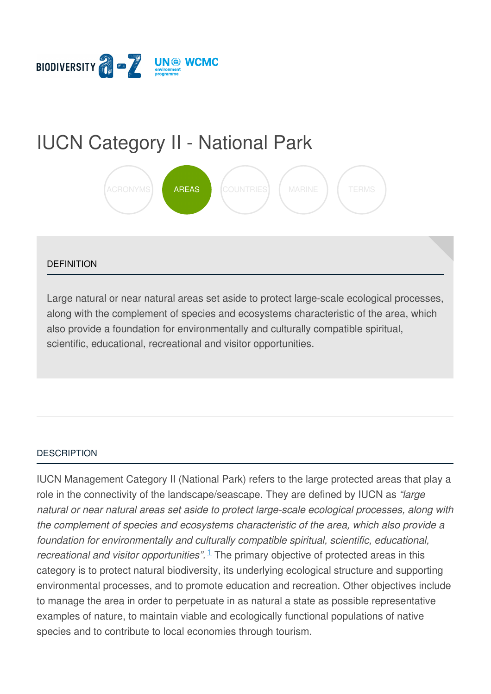

# IUCN [Category](https://biodiversitya-z.org/content/iucn-category-ii-national-park) II - National Park



#### **DEFINITION**

Large natural or near natural areas set aside to protect large-scale ecological processes, along with the complement of species and ecosystems characteristic of the area, which also provide a foundation for environmentally and culturally compatible spiritual, scientific, educational, recreational and visitor opportunities.

#### **[DESCRIPTION](javascript:void(0))**

IUCN Management Category II (National Park) refers to the large protected areas that play a role in the connectivity of the landscape/seascape. They are defined by IUCN as *"large natural or near natural areas set aside to protect large-scale ecological processes, along with the complement of species and ecosystems characteristic of the area, which also provide a foundation for environmentally and culturally compatible spiritual, scientific, educational, recreational and visitor opportunities*".<sup>[1](#page-3-0)</sup> The primary objective of protected areas in this category is to protect natural biodiversity, its underlying ecological structure and supporting environmental processes, and to promote education and recreation. Other objectives i[nclude](file:///tmp/.page-wrap.with-gradient) to manage the area in order to perpetuate in as natural a state as possible representative examples of nature, to maintain viable and ecologically functional populations of native species and to contribute to local economies through tourism.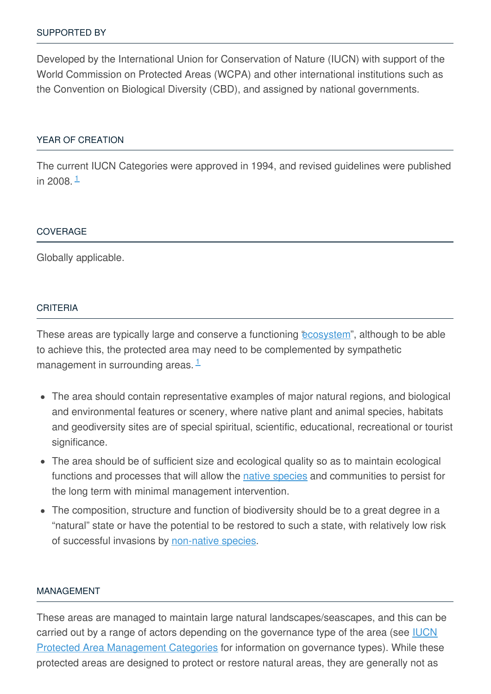Developed by the International Union for Conservation of Nature (IUCN) with support of the World Commission on Protected Areas (WCPA) and other international institutions such as the Convention on Biological Diversity (CBD), and assigned by national governments.

#### YEAR OF [CREATION](javascript:void(0))

The current IUCN Categories were approved in 1994, and revised guidelines were published in 2008. <sup>[1](#page-3-0)</sup>

#### **[COVERAGE](javascript:void(0))**

Globally applicable.

#### **[CRITERIA](javascript:void(0))**

These areas are typically large and conserve a functioning *["ecosystem](http://biodiversitya-z.org/content/ecosystem)"*, although to be able to achieve this, the protected area may need to be complemented by sympathetic management in surrounding areas. [1](#page-3-0)

- The area should contain representative examples of major natural regions, and biological and environmental features or scenery, where native plant and animal species, habitats and geodiversity sites are of special spiritual, scientific, educational, recreational or tourist significance.
- The area should be of sufficient size and ecological quality so as to maintain ecological functions and processes that will allow the native [species](http://biodiversitya-z.org/content/native-species) and communities to persist for the long term with minimal management intervention.
- The composition, structure and function of biodiversity should be to a great degree in a "natural" state or have the potential to be restored to such a state, with relatively low risk of successful invasions by [non-native](http://biodiversitya-z.org/content/alien-invasive-species-ais) species.

#### [MANAGEMENT](javascript:void(0))

These areas are managed to maintain large natural landscapes/seascapes, and this can be carried out by a range of actors depending on the governance type of the area (see **IUCN** Protected Area [Management](http://biodiversitya-z.org/content/iucn-protected-area-management-categories) Categories for information on governance types). While these protected areas are designed to protect or restore natural areas, they are generally not as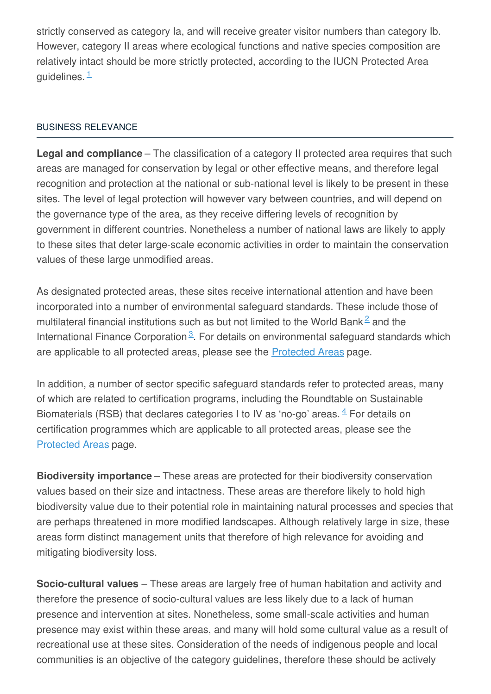strictly conserved as category Ia, and will receive greater visitor numbers than category Ib. However, category II areas where ecological functions and native species composition are relatively intact should be more strictly protected, according to the IUCN Protected Area guidelines. <sup>[1](#page-3-0)</sup>

## BUSINESS [RELEVANCE](javascript:void(0))

**Legal and compliance** – The classification of a category II protected area requires that such areas are managed for conservation by legal or other effective means, and therefore legal recognition and protection at the national or sub-national level is likely to be present in these sites. The level of legal protection will however vary between countries, and will depend on the governance type of the area, as they receive differing levels of recognition by government in different countries. Nonetheless a number of national laws are likely to apply to these sites that deter large-scale economic activities in order to maintain the conservation values of these large unmodified areas.

As designated protected areas, these sites receive international attention and have been incorporated into a number of environmental safeguard standards. These include those of multilateral financial institutions such as but not limited to the World Bank<sup>[2](#page-3-1)</sup> and the International Finance Corporation<sup>[3](#page-3-2)</sup>. For details on environmental safeguard standards which are applicable to all protected areas, please see the **[Protected](http://biodiversitya-z.org/content/protected-areas) Areas** page.

In addition, a number of sector specific safeguard standards refer to protected areas, many of which are related to certification programs, including the Roundtable on Sustainable Biomaterials (RSB) that declares categories I to IV as 'no-go' areas.  $4$  For details on certification programmes which are applicable to all protected areas, please see the [Protected](http://biodiversitya-z.org/content/protected-areas) Areas page.

**Biodiversity importance** – These areas are protected for their biodiversity conservation values based on their size and intactness. These areas are therefore likely to hold high biodiversity value due to their potential role in maintaining natural processes and species that are perhaps threatened in more modified landscapes. Although relatively large in size, these areas form distinct management units that therefore of high relevance for avoiding and mitigating biodiversity loss.

**Socio-cultural values** – These areas are largely free of human habitation and activity and therefore the presence of socio-cultural values are less likely due to a lack of human presence and intervention at sites. Nonetheless, some small-scale activities and human presence may exist within these areas, and many will hold some cultural value as a result of recreational use at these sites. Consideration of the needs of indigenous people and local communities is an objective of the category guidelines, therefore these should be actively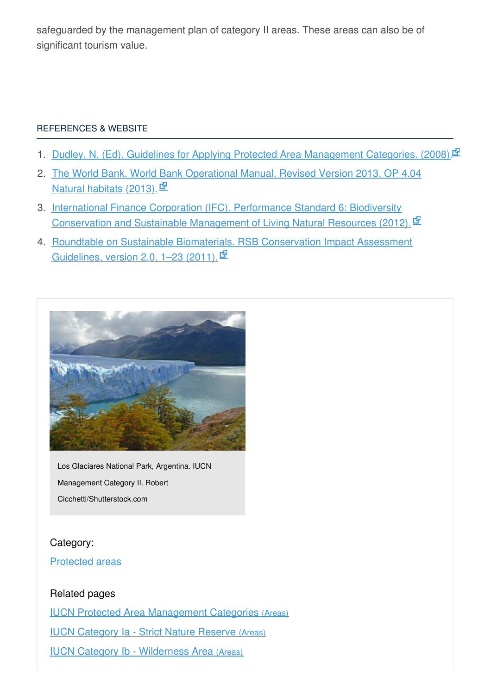safeguarded by the management plan of category II areas. These areas can also be of significant tourism value.

## [REFERENCES](javascript:void(0)) & WEBSITE

- <span id="page-3-0"></span>1. Dudley, N. (Ed). Guidelines for Applying Protected Area [Management](http://data.iucn.org/dbtw-wpd/edocs/PAPS-016.pdf) Categories. (2008).
- <span id="page-3-1"></span>2. The World Bank. World Bank [Operational](http://web.worldbank.org/WBSITE/EXTERNAL/PROJECTS/EXTPOLICIES/EXTOPMANUAL/0,,contentMDK:20064757~menuPK:4564185~pagePK:64709096~piPK:64709108~theSitePK:502184,00.html) Manual. Revised Version 2013. OP 4.04 Natural habitats (2013).  $\mathbf{\Phi}$
- <span id="page-3-2"></span>3. International Finance Corporation (IFC). Performance Standard 6: Biodiversity [Conservation](http://www.ifc.org/wps/wcm/connect/bff0a28049a790d6b835faa8c6a8312a/PS6_English_2012.pdf?MOD=AJPERES) and Sustainable Management of Living Natural Resources (2012).
- <span id="page-3-3"></span>4. Roundtable on Sustainable Biomaterials. RSB [Conservation](http://rsb.org/pdfs/guidelines/11-02-21-RSB-GUI-01-007-01-(RSB-Conservation-Impact-Assessment-Guidelines).pdf) Impact Assessment Guidelines, version 2.0, 1–23 (2011).



Los Glaciares National Park, Argentina. IUCN Management Category II. Robert Cicchetti/Shutterstock.com

## Category:

## [Protected](https://biodiversitya-z.org/themes/areas?category_id=30) areas

## Related pages

IUCN Protected Area [Management](file:///content/iucn-protected-area-management-categories) Categories (Areas)

IUCN [Category](file:///content/iucn-category-ia-strict-nature-reserve) Ia - Strict Nature Reserve (Areas)

IUCN Category Ib - [Wilderness](file:///content/iucn-category-ib-wilderness-area) Area (Areas)